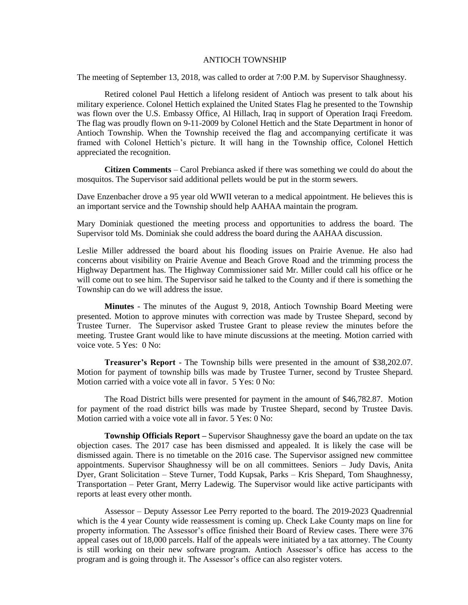## ANTIOCH TOWNSHIP

The meeting of September 13, 2018, was called to order at 7:00 P.M. by Supervisor Shaughnessy.

Retired colonel Paul Hettich a lifelong resident of Antioch was present to talk about his military experience. Colonel Hettich explained the United States Flag he presented to the Township was flown over the U.S. Embassy Office, Al Hillach, Iraq in support of Operation Iraqi Freedom. The flag was proudly flown on 9-11-2009 by Colonel Hettich and the State Department in honor of Antioch Township. When the Township received the flag and accompanying certificate it was framed with Colonel Hettich's picture. It will hang in the Township office, Colonel Hettich appreciated the recognition.

**Citizen Comments** – Carol Prebianca asked if there was something we could do about the mosquitos. The Supervisor said additional pellets would be put in the storm sewers.

Dave Enzenbacher drove a 95 year old WWII veteran to a medical appointment. He believes this is an important service and the Township should help AAHAA maintain the program.

Mary Dominiak questioned the meeting process and opportunities to address the board. The Supervisor told Ms. Dominiak she could address the board during the AAHAA discussion.

Leslie Miller addressed the board about his flooding issues on Prairie Avenue. He also had concerns about visibility on Prairie Avenue and Beach Grove Road and the trimming process the Highway Department has. The Highway Commissioner said Mr. Miller could call his office or he will come out to see him. The Supervisor said he talked to the County and if there is something the Township can do we will address the issue.

**Minutes** - The minutes of the August 9, 2018, Antioch Township Board Meeting were presented. Motion to approve minutes with correction was made by Trustee Shepard, second by Trustee Turner. The Supervisor asked Trustee Grant to please review the minutes before the meeting. Trustee Grant would like to have minute discussions at the meeting. Motion carried with voice vote. 5 Yes: 0 No:

**Treasurer's Report** - The Township bills were presented in the amount of \$38,202.07. Motion for payment of township bills was made by Trustee Turner, second by Trustee Shepard. Motion carried with a voice vote all in favor. 5 Yes: 0 No:

The Road District bills were presented for payment in the amount of \$46,782.87. Motion for payment of the road district bills was made by Trustee Shepard, second by Trustee Davis. Motion carried with a voice vote all in favor. 5 Yes: 0 No:

**Township Officials Report –** Supervisor Shaughnessy gave the board an update on the tax objection cases. The 2017 case has been dismissed and appealed. It is likely the case will be dismissed again. There is no timetable on the 2016 case. The Supervisor assigned new committee appointments. Supervisor Shaughnessy will be on all committees. Seniors – Judy Davis, Anita Dyer, Grant Solicitation – Steve Turner, Todd Kupsak, Parks – Kris Shepard, Tom Shaughnessy, Transportation – Peter Grant, Merry Ladewig. The Supervisor would like active participants with reports at least every other month.

Assessor – Deputy Assessor Lee Perry reported to the board. The 2019-2023 Quadrennial which is the 4 year County wide reassessment is coming up. Check Lake County maps on line for property information. The Assessor's office finished their Board of Review cases. There were 376 appeal cases out of 18,000 parcels. Half of the appeals were initiated by a tax attorney. The County is still working on their new software program. Antioch Assessor's office has access to the program and is going through it. The Assessor's office can also register voters.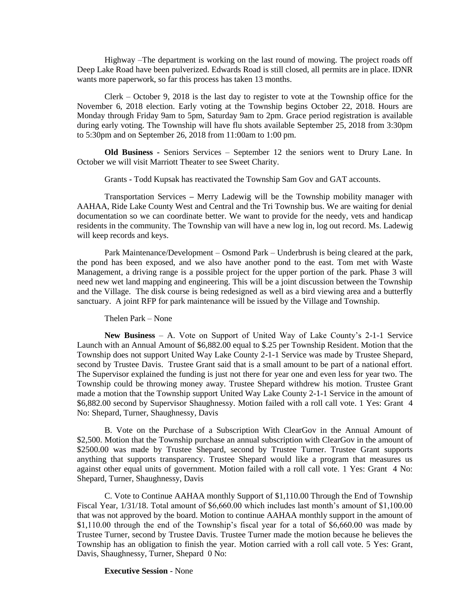Highway –The department is working on the last round of mowing. The project roads off Deep Lake Road have been pulverized. Edwards Road is still closed, all permits are in place. IDNR wants more paperwork, so far this process has taken 13 months.

Clerk – October 9, 2018 is the last day to register to vote at the Township office for the November 6, 2018 election. Early voting at the Township begins October 22, 2018. Hours are Monday through Friday 9am to 5pm, Saturday 9am to 2pm. Grace period registration is available during early voting. The Township will have flu shots available September 25, 2018 from 3:30pm to 5:30pm and on September 26, 2018 from 11:00am to 1:00 pm.

**Old Business -** Seniors Services – September 12 the seniors went to Drury Lane. In October we will visit Marriott Theater to see Sweet Charity.

Grants **-** Todd Kupsak has reactivated the Township Sam Gov and GAT accounts.

Transportation Services **–** Merry Ladewig will be the Township mobility manager with AAHAA, Ride Lake County West and Central and the Tri Township bus. We are waiting for denial documentation so we can coordinate better. We want to provide for the needy, vets and handicap residents in the community. The Township van will have a new log in, log out record. Ms. Ladewig will keep records and keys.

Park Maintenance/Development – Osmond Park – Underbrush is being cleared at the park, the pond has been exposed, and we also have another pond to the east. Tom met with Waste Management, a driving range is a possible project for the upper portion of the park. Phase 3 will need new wet land mapping and engineering. This will be a joint discussion between the Township and the Village. The disk course is being redesigned as well as a bird viewing area and a butterfly sanctuary. A joint RFP for park maintenance will be issued by the Village and Township.

Thelen Park – None

**New Business** – A. Vote on Support of United Way of Lake County's 2-1-1 Service Launch with an Annual Amount of \$6,882.00 equal to \$.25 per Township Resident. Motion that the Township does not support United Way Lake County 2-1-1 Service was made by Trustee Shepard, second by Trustee Davis. Trustee Grant said that is a small amount to be part of a national effort. The Supervisor explained the funding is just not there for year one and even less for year two. The Township could be throwing money away. Trustee Shepard withdrew his motion. Trustee Grant made a motion that the Township support United Way Lake County 2-1-1 Service in the amount of \$6,882.00 second by Supervisor Shaughnessy. Motion failed with a roll call vote. 1 Yes: Grant 4 No: Shepard, Turner, Shaughnessy, Davis

B. Vote on the Purchase of a Subscription With ClearGov in the Annual Amount of \$2,500. Motion that the Township purchase an annual subscription with ClearGov in the amount of \$2500.00 was made by Trustee Shepard, second by Trustee Turner. Trustee Grant supports anything that supports transparency. Trustee Shepard would like a program that measures us against other equal units of government. Motion failed with a roll call vote. 1 Yes: Grant 4 No: Shepard, Turner, Shaughnessy, Davis

C. Vote to Continue AAHAA monthly Support of \$1,110.00 Through the End of Township Fiscal Year, 1/31/18. Total amount of \$6,660.00 which includes last month's amount of \$1,100.00 that was not approved by the board. Motion to continue AAHAA monthly support in the amount of \$1,110.00 through the end of the Township's fiscal year for a total of \$6,660.00 was made by Trustee Turner, second by Trustee Davis. Trustee Turner made the motion because he believes the Township has an obligation to finish the year. Motion carried with a roll call vote. 5 Yes: Grant, Davis, Shaughnessy, Turner, Shepard 0 No:

**Executive Session** - None